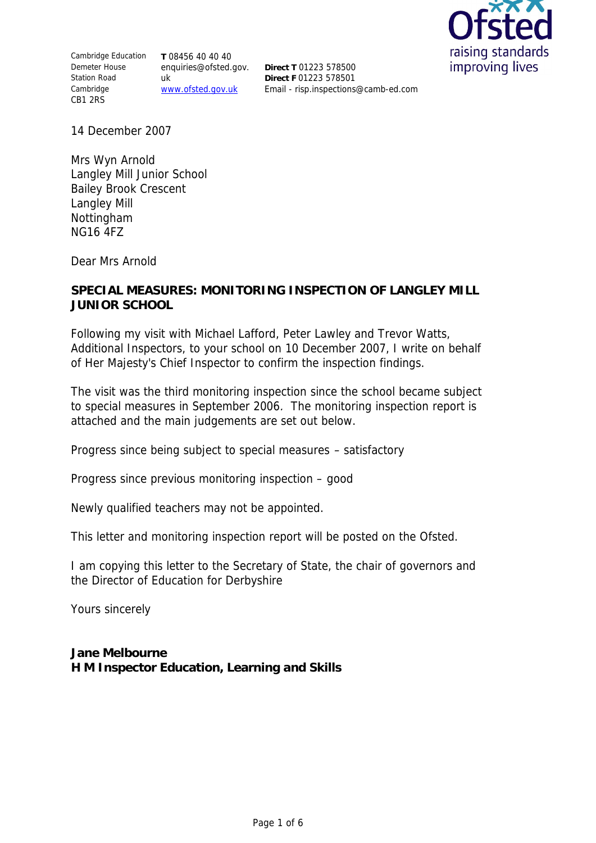raising standards improving lives

Cambridge Education Demeter House Station Road Cambridge CB1 2RS

**T** 08456 40 40 40 enquiries@ofsted.gov. uk www.ofsted.gov.uk

**Direct T** 01223 578500 **Direct F** 01223 578501 Email - risp.inspections@camb-ed.com

14 December 2007

Mrs Wyn Arnold Langley Mill Junior School Bailey Brook Crescent Langley Mill Nottingham NG16 4FZ

Dear Mrs Arnold

# **SPECIAL MEASURES: MONITORING INSPECTION OF LANGLEY MILL JUNIOR SCHOOL**

Following my visit with Michael Lafford, Peter Lawley and Trevor Watts, Additional Inspectors, to your school on 10 December 2007, I write on behalf of Her Majesty's Chief Inspector to confirm the inspection findings.

The visit was the third monitoring inspection since the school became subject to special measures in September 2006. The monitoring inspection report is attached and the main judgements are set out below.

Progress since being subject to special measures – satisfactory

Progress since previous monitoring inspection – good

Newly qualified teachers may not be appointed.

This letter and monitoring inspection report will be posted on the Ofsted.

I am copying this letter to the Secretary of State, the chair of governors and the Director of Education for Derbyshire

Yours sincerely

**Jane Melbourne H M Inspector Education, Learning and Skills**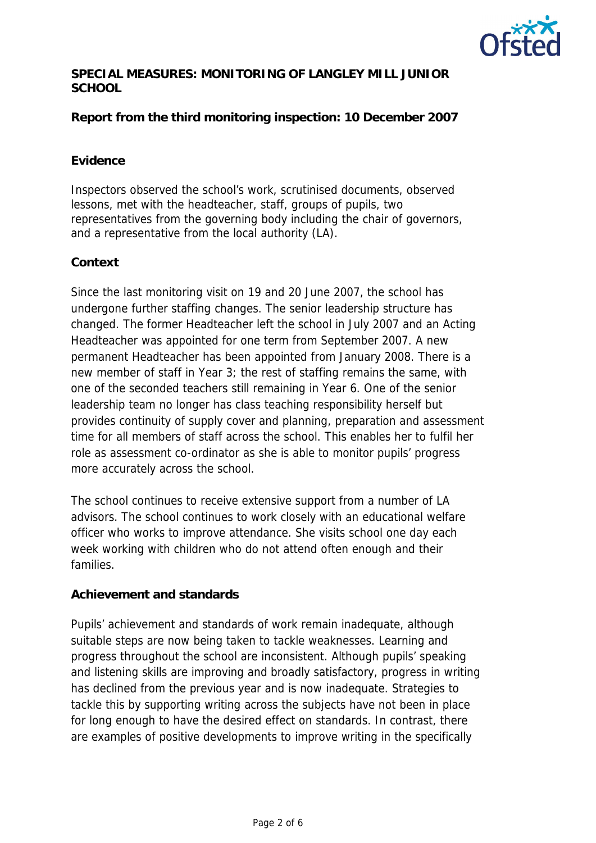

## **SPECIAL MEASURES: MONITORING OF LANGLEY MILL JUNIOR SCHOOL**

**Report from the third monitoring inspection: 10 December 2007** 

# **Evidence**

Inspectors observed the school's work, scrutinised documents, observed lessons, met with the headteacher, staff, groups of pupils, two representatives from the governing body including the chair of governors, and a representative from the local authority (LA).

## **Context**

Since the last monitoring visit on 19 and 20 June 2007, the school has undergone further staffing changes. The senior leadership structure has changed. The former Headteacher left the school in July 2007 and an Acting Headteacher was appointed for one term from September 2007. A new permanent Headteacher has been appointed from January 2008. There is a new member of staff in Year 3; the rest of staffing remains the same, with one of the seconded teachers still remaining in Year 6. One of the senior leadership team no longer has class teaching responsibility herself but provides continuity of supply cover and planning, preparation and assessment time for all members of staff across the school. This enables her to fulfil her role as assessment co-ordinator as she is able to monitor pupils' progress more accurately across the school.

The school continues to receive extensive support from a number of LA advisors. The school continues to work closely with an educational welfare officer who works to improve attendance. She visits school one day each week working with children who do not attend often enough and their families.

#### **Achievement and standards**

Pupils' achievement and standards of work remain inadequate, although suitable steps are now being taken to tackle weaknesses. Learning and progress throughout the school are inconsistent. Although pupils' speaking and listening skills are improving and broadly satisfactory, progress in writing has declined from the previous year and is now inadequate. Strategies to tackle this by supporting writing across the subjects have not been in place for long enough to have the desired effect on standards. In contrast, there are examples of positive developments to improve writing in the specifically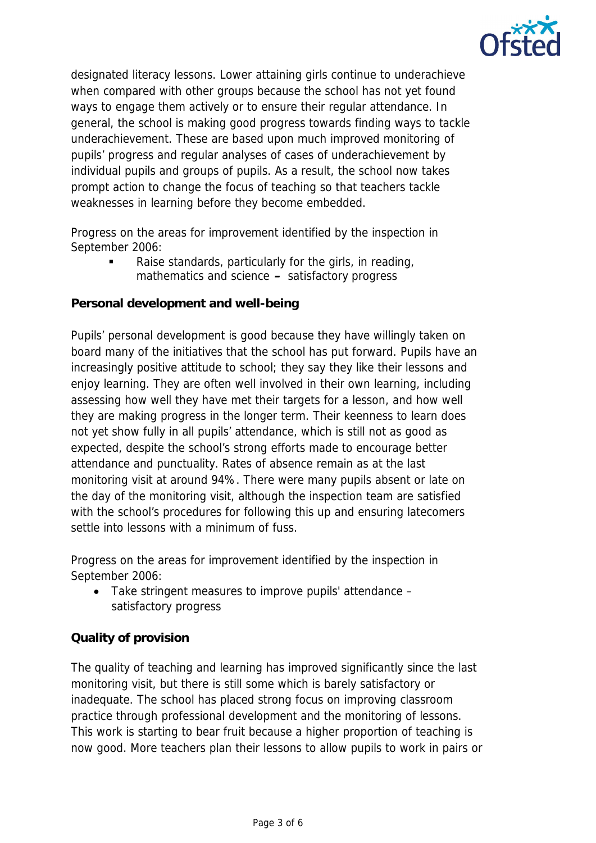

designated literacy lessons. Lower attaining girls continue to underachieve when compared with other groups because the school has not yet found ways to engage them actively or to ensure their regular attendance. In general, the school is making good progress towards finding ways to tackle underachievement. These are based upon much improved monitoring of pupils' progress and regular analyses of cases of underachievement by individual pupils and groups of pupils. As a result, the school now takes prompt action to change the focus of teaching so that teachers tackle weaknesses in learning before they become embedded.

Progress on the areas for improvement identified by the inspection in September 2006:

 Raise standards, particularly for the girls, in reading, mathematics and science **–** satisfactory progress

**Personal development and well-being**

Pupils' personal development is good because they have willingly taken on board many of the initiatives that the school has put forward. Pupils have an increasingly positive attitude to school; they say they like their lessons and enjoy learning. They are often well involved in their own learning, including assessing how well they have met their targets for a lesson, and how well they are making progress in the longer term. Their keenness to learn does not yet show fully in all pupils' attendance, which is still not as good as expected, despite the school's strong efforts made to encourage better attendance and punctuality. Rates of absence remain as at the last monitoring visit at around 94%. There were many pupils absent or late on the day of the monitoring visit, although the inspection team are satisfied with the school's procedures for following this up and ensuring latecomers settle into lessons with a minimum of fuss.

Progress on the areas for improvement identified by the inspection in September 2006:

 Take stringent measures to improve pupils' attendance – satisfactory progress

# **Quality of provision**

The quality of teaching and learning has improved significantly since the last monitoring visit, but there is still some which is barely satisfactory or inadequate. The school has placed strong focus on improving classroom practice through professional development and the monitoring of lessons. This work is starting to bear fruit because a higher proportion of teaching is now good. More teachers plan their lessons to allow pupils to work in pairs or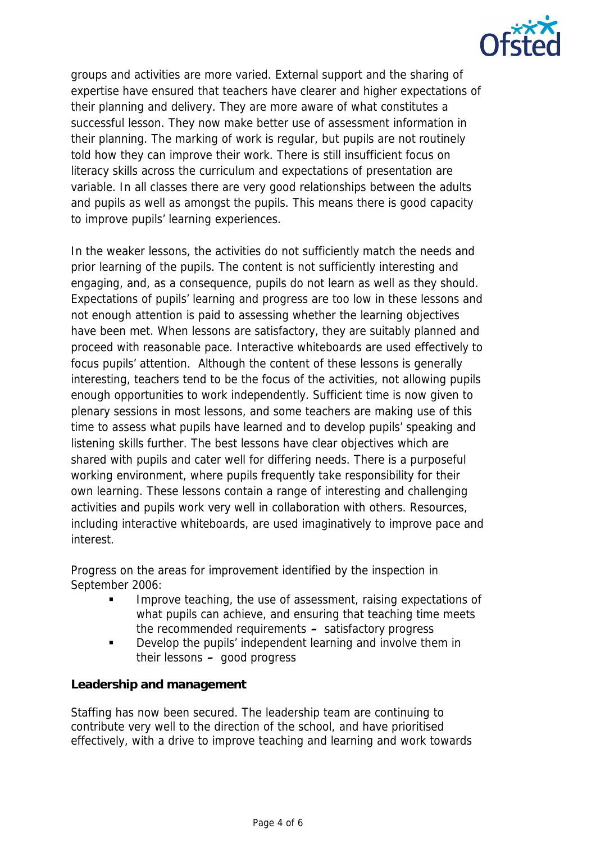

groups and activities are more varied. External support and the sharing of expertise have ensured that teachers have clearer and higher expectations of their planning and delivery. They are more aware of what constitutes a successful lesson. They now make better use of assessment information in their planning. The marking of work is regular, but pupils are not routinely told how they can improve their work. There is still insufficient focus on literacy skills across the curriculum and expectations of presentation are variable. In all classes there are very good relationships between the adults and pupils as well as amongst the pupils. This means there is good capacity to improve pupils' learning experiences.

In the weaker lessons, the activities do not sufficiently match the needs and prior learning of the pupils. The content is not sufficiently interesting and engaging, and, as a consequence, pupils do not learn as well as they should. Expectations of pupils' learning and progress are too low in these lessons and not enough attention is paid to assessing whether the learning objectives have been met. When lessons are satisfactory, they are suitably planned and proceed with reasonable pace. Interactive whiteboards are used effectively to focus pupils' attention. Although the content of these lessons is generally interesting, teachers tend to be the focus of the activities, not allowing pupils enough opportunities to work independently. Sufficient time is now given to plenary sessions in most lessons, and some teachers are making use of this time to assess what pupils have learned and to develop pupils' speaking and listening skills further. The best lessons have clear objectives which are shared with pupils and cater well for differing needs. There is a purposeful working environment, where pupils frequently take responsibility for their own learning. These lessons contain a range of interesting and challenging activities and pupils work very well in collaboration with others. Resources, including interactive whiteboards, are used imaginatively to improve pace and interest.

Progress on the areas for improvement identified by the inspection in September 2006:

- Improve teaching, the use of assessment, raising expectations of what pupils can achieve, and ensuring that teaching time meets the recommended requirements **–** satisfactory progress
- **•** Develop the pupils' independent learning and involve them in their lessons **–** good progress

**Leadership and management**

Staffing has now been secured. The leadership team are continuing to contribute very well to the direction of the school, and have prioritised effectively, with a drive to improve teaching and learning and work towards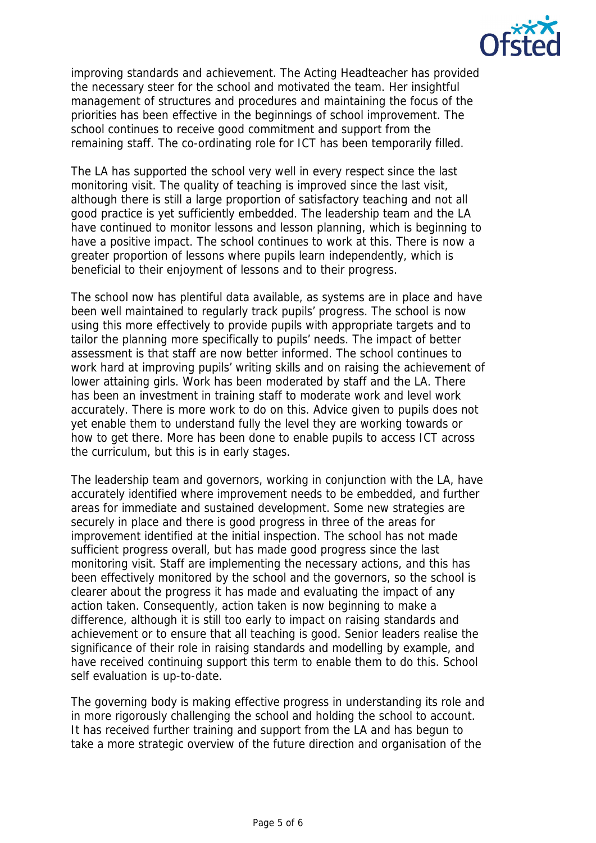

improving standards and achievement. The Acting Headteacher has provided the necessary steer for the school and motivated the team. Her insightful management of structures and procedures and maintaining the focus of the priorities has been effective in the beginnings of school improvement. The school continues to receive good commitment and support from the remaining staff. The co-ordinating role for ICT has been temporarily filled.

The LA has supported the school very well in every respect since the last monitoring visit. The quality of teaching is improved since the last visit, although there is still a large proportion of satisfactory teaching and not all good practice is yet sufficiently embedded. The leadership team and the LA have continued to monitor lessons and lesson planning, which is beginning to have a positive impact. The school continues to work at this. There is now a greater proportion of lessons where pupils learn independently, which is beneficial to their enjoyment of lessons and to their progress.

The school now has plentiful data available, as systems are in place and have been well maintained to regularly track pupils' progress. The school is now using this more effectively to provide pupils with appropriate targets and to tailor the planning more specifically to pupils' needs. The impact of better assessment is that staff are now better informed. The school continues to work hard at improving pupils' writing skills and on raising the achievement of lower attaining girls. Work has been moderated by staff and the LA. There has been an investment in training staff to moderate work and level work accurately. There is more work to do on this. Advice given to pupils does not yet enable them to understand fully the level they are working towards or how to get there. More has been done to enable pupils to access ICT across the curriculum, but this is in early stages.

The leadership team and governors, working in conjunction with the LA, have accurately identified where improvement needs to be embedded, and further areas for immediate and sustained development. Some new strategies are securely in place and there is good progress in three of the areas for improvement identified at the initial inspection. The school has not made sufficient progress overall, but has made good progress since the last monitoring visit. Staff are implementing the necessary actions, and this has been effectively monitored by the school and the governors, so the school is clearer about the progress it has made and evaluating the impact of any action taken. Consequently, action taken is now beginning to make a difference, although it is still too early to impact on raising standards and achievement or to ensure that all teaching is good. Senior leaders realise the significance of their role in raising standards and modelling by example, and have received continuing support this term to enable them to do this. School self evaluation is up-to-date.

The governing body is making effective progress in understanding its role and in more rigorously challenging the school and holding the school to account. It has received further training and support from the LA and has begun to take a more strategic overview of the future direction and organisation of the